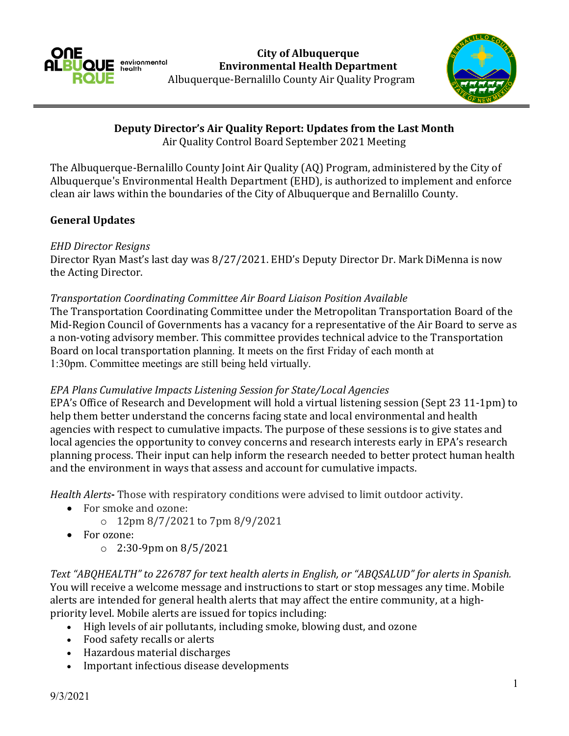



**Deputy Director's Air Quality Report: Updates from the Last Month**

Air Quality Control Board September 2021 Meeting

The Albuquerque-Bernalillo County Joint Air Quality (AQ) Program, administered by the City of Albuquerque's Environmental Health Department (EHD), is authorized to implement and enforce clean air laws within the boundaries of the City of Albuquerque and Bernalillo County.

# **General Updates**

## *EHD Director Resigns*

Director Ryan Mast's last day was 8/27/2021. EHD's Deputy Director Dr. Mark DiMenna is now the Acting Director.

## *Transportation Coordinating Committee Air Board Liaison Position Available*

The Transportation Coordinating Committee under the Metropolitan Transportation Board of the Mid-Region Council of Governments has a vacancy for a representative of the Air Board to serve as a non-voting advisory member. This committee provides technical advice to the Transportation Board on local transportation planning. It meets on the first Friday of each month at 1:30pm. Committee meetings are still being held virtually.

## *EPA Plans Cumulative Impacts Listening Session for State/Local Agencies*

EPA's Office of Research and Development will hold a virtual listening session (Sept 23 11-1pm) to help them better understand the concerns facing state and local environmental and health agencies with respect to cumulative impacts. The purpose of these sessions is to give states and local agencies the opportunity to convey concerns and research interests early in EPA's research planning process. Their input can help inform the research needed to better protect human health and the environment in ways that assess and account for cumulative impacts.

*Health Alerts***-** Those with respiratory conditions were advised to limit outdoor activity.

- For smoke and ozone:
	- o 12pm 8/7/2021 to 7pm 8/9/2021
- For ozone:
	- o 2:30-9pm on 8/5/2021

*Text "ABQHEALTH" to 226787 for text health alerts in English, or "ABQSALUD" for alerts in Spanish.* You will receive a welcome message and instructions to start or stop messages any time. Mobile alerts are intended for general health alerts that may affect the entire community, at a highpriority level. Mobile alerts are issued for topics including:

- High levels of air pollutants, including smoke, blowing dust, and ozone
- Food safety recalls or alerts
- Hazardous material discharges
- Important infectious disease developments